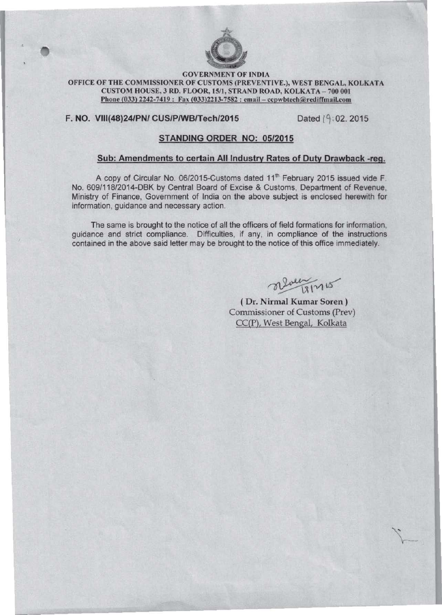

## **GOVERNMENT Of INDIA**  OFFICE OF THE COMMISSIONER OF CUSTOMS (PREVENTIVE.), WEST BENGAL, KOLKATA **CUSTOM** HOUSE. 3 **RD. fLOOR. ISII, STRAND ROAD, KOLKATA -700 001**  Phone (033) 2242-7419: Fax (033)2213-7582 : email - ccpwbtech@rediffmail.com

# F. NO. VIII(48)24/PN/ CUS/P/WB/Tech/2015 Dated (9:02. 2015

# STANDING ORDER NO: 05/2015

## Sub: Amendments to certain All Industry Rates of Duty Drawback -reg.

A copy of Circular No. 06/2015-Customs dated 11<sup>th</sup> February 2015 issued vide F. No. 609/118/2014-DBK by Central Board of Excise & Customs, Department of Revenue, **Ministry of Finance. Government of India on the above subject is enclosed herewith for information, guidance and necessary action.** 

**The same is brought to the notice of all the officers of field formations for information, guidance and strict compliance. Difficulties, if any, in compliance of the instructions contained in the above said letter may be brought to the notice of this office immediately.** 

alveen 18/15

(Dr. Nirmal Kumar Soren) Commissioner of Customs (Prev) CC(P), West Bengal, Kolkata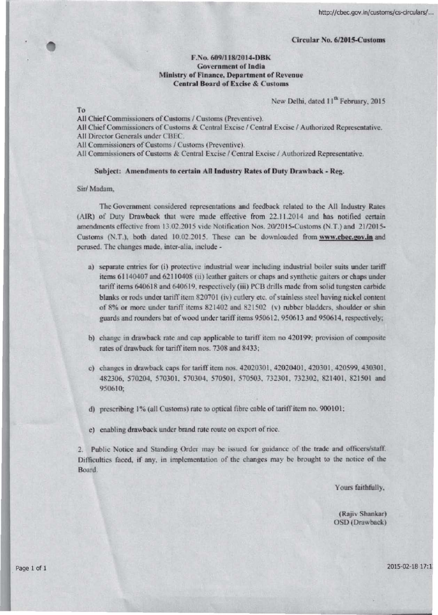#### Circular No. 6/2015-Customs

### F.No. 609/118/2014-DRK **Government of India** Ministry of Finance, Department of Revenue **Central Board of Excise & Customs**

New Delhi, dated 11<sup>th</sup> February, 2015

To

All Chief Commissioners of Customs / Customs (Preventive).

All Chief Commissioners of Customs & Central Excise / Central Excise / Authorized Representative.

All Director Generals under CBEC.

All Commissioners of Customs / Customs (Preventive).

All Commissioners of Customs & Central Excise / Central Excise / Authorized Representative.

#### Subject: Amendments to certain All Industry Rates of Duty Drawback - Reg.

Sir/ Madam.

The Government considered representations and feedback related to the All Industry Rates (AIR) of Duty Drawback that were made effective from 22.11.2014 and has notified certain amendments effective from 13.02.2015 vide Notification Nos. 20/2015-Customs (N.T.) and 21/2015-Customs (N.T.), both dated 10.02.2015. These can be downloaded from www.cbec.gov.in and perused. The changes made, inter-alia, include -

- a) separate entries for (i) protective industrial wear including industrial boiler suits under tariff items 61140407 and 62110408 (ii) leather gaiters or chaps and synthetic gaiters or chaps under tariff items 640618 and 640619, respectively (iii) PCB drills made from solid tungsten carbide blanks or rods under tariff item 820701 (iv) cutlery etc. of stainless steel having nickel content of 8% or more under tariff items 821402 and 821502 (v) rubber bladders, shoulder or shin guards and rounders bat of wood under tariff items 950612, 950613 and 950614, respectively;
- b) change in drawback rate and cap applicable to tariff item no 420199; provision of composite rates of drawback for tariff item nos. 7308 and 8433;
- c) changes in drawback caps for tariff item nos. 42020301, 42020401, 420301, 420599, 430301, 482306, 570204, 570301, 570304, 570501, 570503, 732301, 732302, 821401, 821501 and 950610:
- d) prescribing 1% (all Customs) rate to optical fibre cable of tariff item no. 900101;
- c) enabling drawback under brand rate route on export of rice.

2. Public Notice and Standing Order may be issued for guidance of the trade and officers/staff. Difficulties faced, if any, in implementation of the changes may be brought to the notice of the Board.

Yours faithfully,

(Rajiv Shankar) OSD (Drawback)